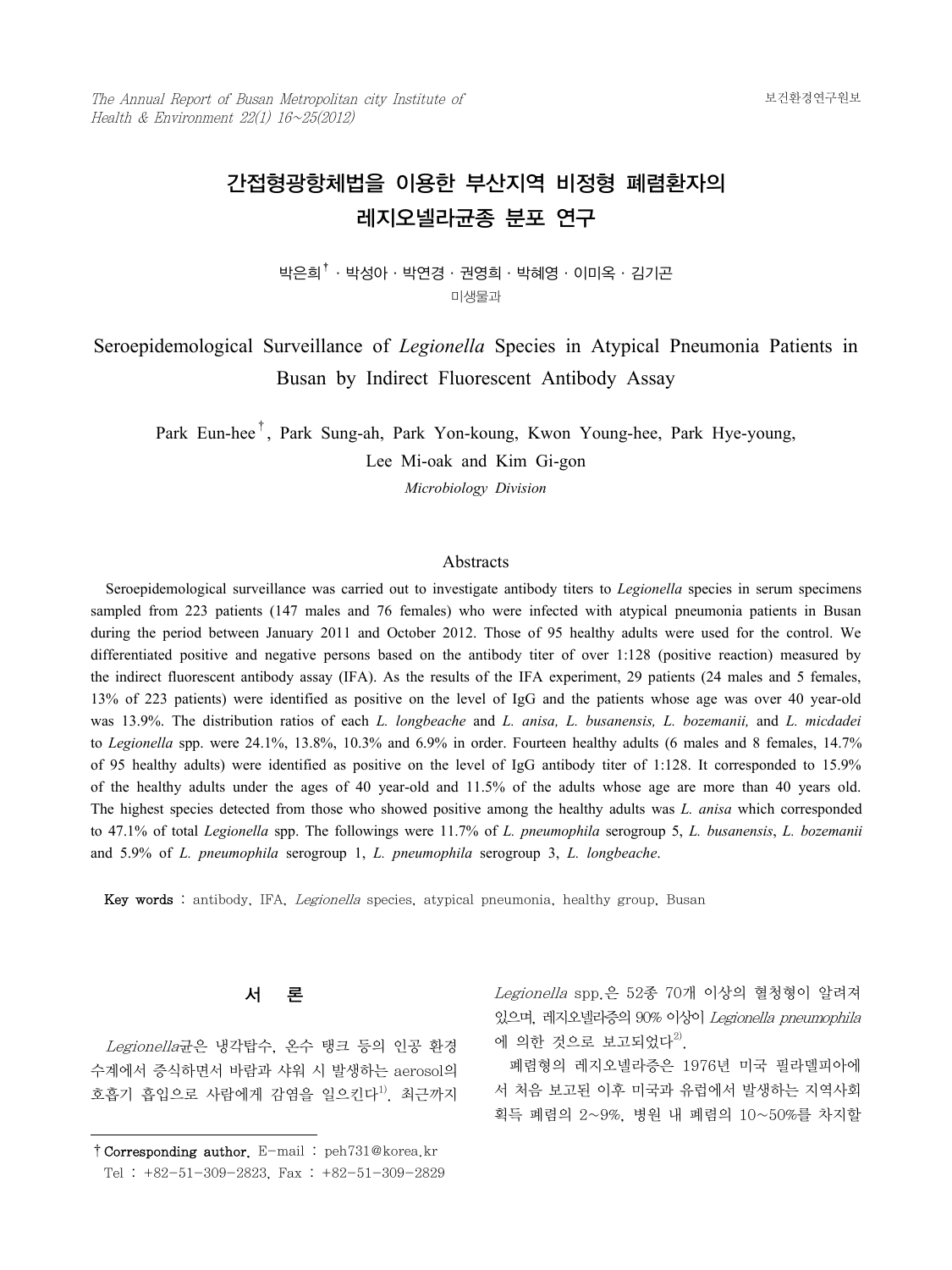# 간접형광항체법을 이용한 부산지역 비정형 폐렴환자의 레지오넬라균종 분포 연구

박은희†·박성아·박연경·권영희·박혜영·이미옥·김기곤 미생물과

# Seroepidemological Surveillance of *Legionella* Species in Atypical Pneumonia Patients in Busan by Indirect Fluorescent Antibody Assay

Park Eun-hee†, Park Sung-ah, Park Yon-koung, Kwon Young-hee, Park Hye-young, Lee Mi-oak and Kim Gi-gon

*Microbiology Division*

#### Abstracts

 Seroepidemological surveillance was carried out to investigate antibody titers to *Legionella* species in serum specimens sampled from 223 patients (147 males and 76 females) who were infected with atypical pneumonia patients in Busan during the period between January 2011 and October 2012. Those of 95 healthy adults were used for the control. We differentiated positive and negative persons based on the antibody titer of over 1:128 (positive reaction) measured by the indirect fluorescent antibody assay (IFA). As the results of the IFA experiment, 29 patients (24 males and 5 females, 13% of 223 patients) were identified as positive on the level of IgG and the patients whose age was over 40 year-old was 13.9%. The distribution ratios of each *L. longbeache* and *L. anisa, L. busanensis, L. bozemanii,* and *L. micdadei* to *Legionella* spp. were 24.1%, 13.8%, 10.3% and 6.9% in order. Fourteen healthy adults (6 males and 8 females, 14.7% of 95 healthy adults) were identified as positive on the level of IgG antibody titer of 1:128. It corresponded to 15.9% of the healthy adults under the ages of 40 year-old and 11.5% of the adults whose age are more than 40 years old. The highest species detected from those who showed positive among the healthy adults was *L. anisa* which corresponded to 47.1% of total *Legionella* spp. The followings were 11.7% of *L. pneumophila* serogroup 5, *L. busanensis*, *L. bozemanii*  and 5.9% of *L. pneumophila* serogroup 1, *L. pneumophila* serogroup 3, *L. longbeache*.

Key words : antibody, IFA, Legionella species, atypical pneumonia, healthy group, Busan

#### 서 론

 Legionella균은 냉각탑수, 온수 탱크 등의 인공 환경 수계에서 증식하면서 바람과 샤워 시 발생하는 aerosol의 호흡기 흡입으로 사람에게 감염을 일으킨다<sup>1)</sup>. 최근까지 Legionella spp.은 52종 70개 이상의 혈청형이 알려져 있으며, 레지오넬라증의 90% 이상이 Legionella pneumophila 에 의한 것으로 보고되었다 $^{2)}$ .

 폐렴형의 레지오넬라증은 1976년 미국 필라델피아에 서 처음 보고된 이후 미국과 유럽에서 발생하는 지역사회 획득 폐렴의 2~9%, 병원 내 폐렴의 10~50%를 차지할

<sup>†</sup>Corresponding author. E-mail : peh731@korea.kr Tel : +82-51-309-2823, Fax : +82-51-309-2829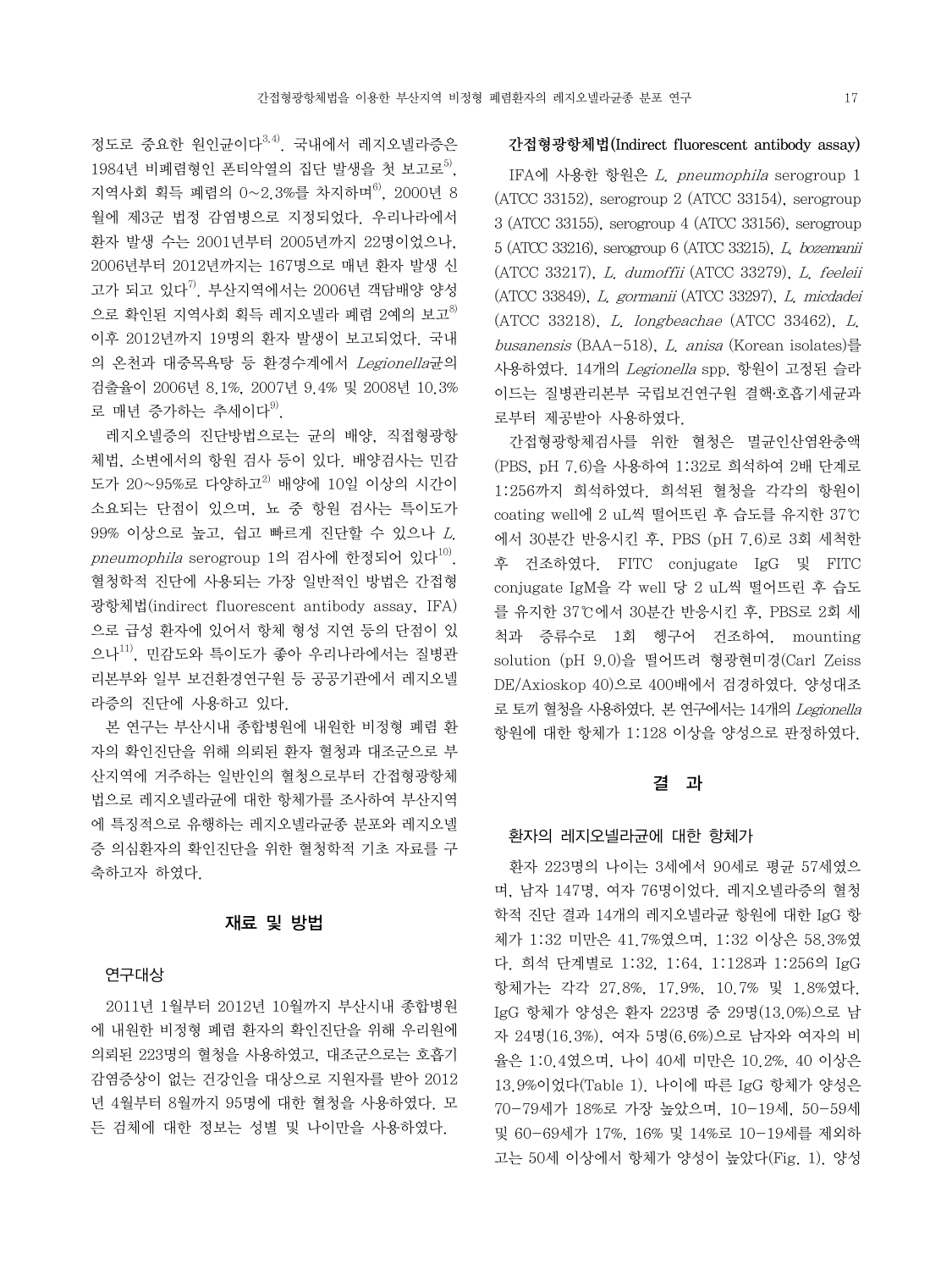정도로 중요한 원인균이다3,4). 국내에서 레지오넬라증은 1984년 비폐렴형인 폰티악열의 집단 발생을 첫 보고로<sup>5)</sup>. 지역사회 획득 폐렴의 0~2.3%를 차지하며<sup>6)</sup>, 2000년 8 월에 제3군 법정 감염병으로 지정되었다. 우리나라에서 환자 발생 수는 2001년부터 2005년까지 22명이었으나, 2006년부터 2012년까지는 167명으로 매년 환자 발생 신 고가 되고 있다 $^{7)}$ . 부산지역에서는 2006년 객담배양 양성 으로 확인된 지역사회 획득 레지오넬라 폐렴 2예의 보고 $^{8)}$ 이후 2012년까지 19명의 환자 발생이 보고되었다. 국내 의 온천과 대중목욕탕 등 환경수계에서 Legionella균의 검출율이 2006년 8.1%, 2007년 9.4% 및 2008년 10.3% 로 매년 증가하는 추세이다 $^{9}$ .

 레지오넬증의 진단방법으로는 균의 배양, 직접형광항 체법, 소변에서의 항원 검사 등이 있다. 배양검사는 민감 도가 20~95%로 다양하고 $^{2)}$  배양에 10일 이상의 시간이 소요되는 단점이 있으며, 뇨 중 항원 검사는 특이도가 99% 이상으로 높고, 쉽고 빠르게 진단할 수 있으나 L. pneumophila serogroup 1의 검사에 한정되어 있다<sup>10)</sup>. 혈청학적 진단에 사용되는 가장 일반적인 방법은 간접형 광항체법(indirect fluorescent antibody assay, IFA) 으로 급성 환자에 있어서 항체 형성 지연 등의 단점이 있 으나 $^{11}$ , 민감도와 특이도가 좋아 우리나라에서는 질병관 리본부와 일부 보건환경연구원 등 공공기관에서 레지오넬 라증의 진단에 사용하고 있다.

 본 연구는 부산시내 종합병원에 내원한 비정형 폐렴 환 자의 확인진단을 위해 의뢰된 환자 혈청과 대조군으로 부 산지역에 거주하는 일반인의 혈청으로부터 간접형광항체 법으로 레지오넬라균에 대한 항체가를 조사하여 부산지역 에 특징적으로 유행하는 레지오넬라균종 분포와 레지오넬 증 의심환자의 확인진단을 위한 혈청학적 기초 자료를 구 축하고자 하였다.

## 재료 및 방법

#### 연구대상

 2011년 1월부터 2012년 10월까지 부산시내 종합병원 에 내원한 비정형 폐렴 환자의 확인진단을 위해 우리원에 의뢰된 223명의 혈청을 사용하였고, 대조군으로는 호흡기 감염증상이 없는 건강인을 대상으로 지원자를 받아 2012 년 4월부터 8월까지 95명에 대한 혈청을 사용하였다. 모 든 검체에 대한 정보는 성별 및 나이만을 사용하였다.

#### 간접형광항체법(Indirect fluorescent antibody assay)

 IFA에 사용한 항원은 L. pneumophila serogroup 1 (ATCC 33152), serogroup 2 (ATCC 33154), serogroup 3 (ATCC 33155), serogroup 4 (ATCC 33156), serogroup 5 (ATCC 33216), serogroup 6 (ATCC 33215), L. bozemanii (ATCC 33217), L. dumoffii (ATCC 33279), L. feeleii (ATCC 33849), L. gormanii (ATCC 33297), L. micdadei (ATCC 33218), L. longbeachae (ATCC 33462), L. busanensis (BAA-518), L. anisa (Korean isolates)를 사용하였다. 14개의 Legionella spp. 항원이 고정된 슬라 이드는 질병관리본부 국립보건연구원 결핵․호흡기세균과 로부터 제공받아 사용하였다.

 간접형광항체검사를 위한 혈청은 멸균인산염완충액 (PBS, pH 7.6)을 사용하여 1:32로 희석하여 2배 단계로 1:256까지 희석하였다. 희석된 혈청을 각각의 항원이 coating well에 2 uL씩 떨어뜨린 후 습도를 유지한 37℃ 에서 30분간 반응시킨 후, PBS (pH 7.6)로 3회 세척한 후 건조하였다. FITC conjugate IgG 및 FITC conjugate IgM을 각 well 당 2 uL씩 떨어뜨린 후 습도 를 유지한 37℃에서 30분간 반응시킨 후, PBS로 2회 세 척과 증류수로 1회 헹구어 건조하여, mounting solution (pH 9.0)을 떨어뜨려 형광현미경(Carl Zeiss DE/Axioskop 40)으로 400배에서 검경하였다. 양성대조 로 토끼 혈청을 사용하였다. 본 연구에서는 14개의 Legionella 항원에 대한 항체가 1:128 이상을 양성으로 판정하였다.

### 결 과

#### 환자의 레지오넬라균에 대한 항체가

 환자 223명의 나이는 3세에서 90세로 평균 57세였으 며, 남자 147명, 여자 76명이었다. 레지오넬라증의 혈청 학적 진단 결과 14개의 레지오넬라균 항원에 대한 IgG 항 체가 1:32 미만은 41.7%였으며, 1:32 이상은 58.3%였 다. 희석 단계별로 1:32, 1:64, 1:128과 1:256의 IgG 항체가는 각각 27.8%, 17.9%, 10.7% 및 1.8%였다. IgG 항체가 양성은 환자 223명 중 29명(13.0%)으로 남 자 24명(16.3%), 여자 5명(6.6%)으로 남자와 여자의 비 율은 1:0.4였으며, 나이 40세 미만은 10.2%, 40 이상은 13.9%이었다(Table 1). 나이에 따른 IgG 항체가 양성은 70-79세가 18%로 가장 높았으며, 10-19세, 50-59세 및 60-69세가 17%, 16% 및 14%로 10-19세를 제외하 고는 50세 이상에서 항체가 양성이 높았다(Fig. 1). 양성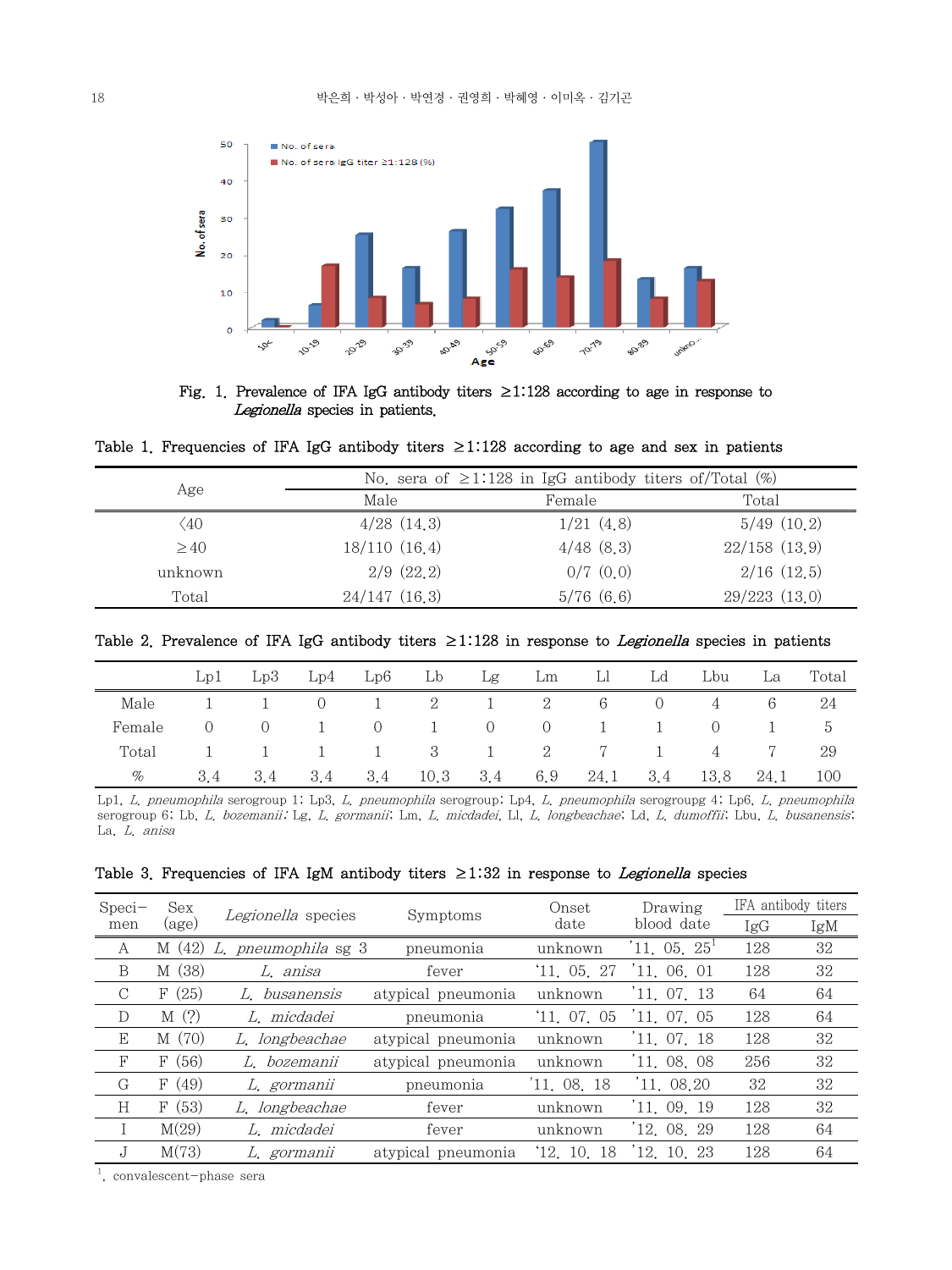

Fig. 1. Prevalence of IFA IgG antibody titers ≥1:128 according to age in response to Legionella species in patients.

Table 1. Frequencies of IFA IgG antibody titers  $\geq$ 1:128 according to age and sex in patients

|              | No. sera of $\geq$ 1:128 in IgG antibody titers of/Total (%) |                |                   |  |  |  |
|--------------|--------------------------------------------------------------|----------------|-------------------|--|--|--|
| Age          | Male                                                         | Female         | Total             |  |  |  |
| $\langle 40$ | $4/28$ $(14,3)$                                              | 1/21(4.8)      | 5/49(10,2)        |  |  |  |
| >40          | 18/110(16.4)                                                 | $4/48$ $(8,3)$ | $22/158$ $(13.9)$ |  |  |  |
| unknown      | $2/9$ $(22.2)$                                               | $0/7$ $(0,0)$  | $2/16$ $(12.5)$   |  |  |  |
| Total        | $24/147$ $(16.3)$                                            | 5/76(6,6)      | 29/223(13.0)      |  |  |  |

Table 2. Prevalence of IFA IgG antibody titers ≥1:128 in response to *Legionella* species in patients

|        | Lp1                                          | Lp3 | Lp4 Lp6 Lb   |         |              | Lg Lm Ll |                                                     | Ld               | Lbu            | La | Total           |
|--------|----------------------------------------------|-----|--------------|---------|--------------|----------|-----------------------------------------------------|------------------|----------------|----|-----------------|
| Male   |                                              |     | $\cup$       |         |              |          | $1 \t 2 \t 1 \t 2 \t 6$                             | $\left( \right)$ | 4              | 6  | 24              |
| Female | $\begin{matrix} 0 & \mathbf{0} \end{matrix}$ |     | $0 \qquad 1$ |         |              |          | $0 \t 1 \t 0 \t 0 \t 1 \t 1$                        |                  | $\overline{0}$ |    | $\ddot{\sigma}$ |
| Total  |                                              |     |              |         |              |          | $1 \quad 1 \quad 1 \quad 3 \quad 1 \quad 2 \quad 7$ | $\sim$ 1         | 4              |    | 29              |
| $\%$   | 3.4                                          | 3.4 |              | 3.4 3.4 | $10.3$ $3.4$ |          | 6.9 24.1 3.4 13.8 24.1                              |                  |                |    | 100             |

Lp1, L. pneumophila serogroup 1; Lp3, L. pneumophila serogroup; Lp4, L. pneumophila serogroupg 4; Lp6, L. pneumophila serogroup 6; Lb, L. bozemanii; Lg, L. gormanii; Lm, L. micdadei, Ll, L. longbeachae; Ld, L. dumoffii; Lbu, L. busanensis; La, L. anisa

|  | Table 3. Frequencies of IFA IgM antibody titers $\geq$ 1:32 in response to <i>Legionella</i> species |  |  |  |  |  |  |  |  |  |  |  |
|--|------------------------------------------------------------------------------------------------------|--|--|--|--|--|--|--|--|--|--|--|
|--|------------------------------------------------------------------------------------------------------|--|--|--|--|--|--|--|--|--|--|--|

| $Speci-$   | Sex   | Legionella species  | Symptoms           | Onset       | Drawing    | IFA antibody titers |     |
|------------|-------|---------------------|--------------------|-------------|------------|---------------------|-----|
| men        | (age) |                     |                    | date        | blood date | IgG                 | IgM |
| A          | M(42) | L. pneumophila sg 3 | pneumonia          | unknown     | 11.05.25   | 128                 | 32  |
| B          | M(38) | L. anisa            | fever              | 11, 05, 27  | 11, 06, 01 | 128                 | 32  |
| C          | F(25) | L busanensis        | atypical pneumonia | unknown     | 11, 07, 13 | 64                  | 64  |
| D          | M(?)  | L. micdadei         | pneumonia          | 11, 07, 05  | 11.07.05   | 128                 | 64  |
| E          | M(70) | L. longbeachae      | atypical pneumonia | unknown     | 11, 07, 18 | 128                 | 32  |
| $_{\rm F}$ | F(56) | L. bozemanii        | atypical pneumonia | unknown     | 11, 08, 08 | 256                 | 32  |
| G          | F(49) | L. gormanii         | pneumonia          | 11, 08, 18  | '11,08.20  | 32                  | 32  |
| Η          | F(53) | L. longbeachae      | fever              | unknown     | 11, 09, 19 | 128                 | 32  |
| T          | M(29) | L. micdadei         | fever              | unknown     | 12.08.29   | 128                 | 64  |
| J.         | M(73) | L. gormanii         | atypical pneumonia | '12, 10, 18 | 12, 10, 23 | 128                 | 64  |

1 , convalescent-phase sera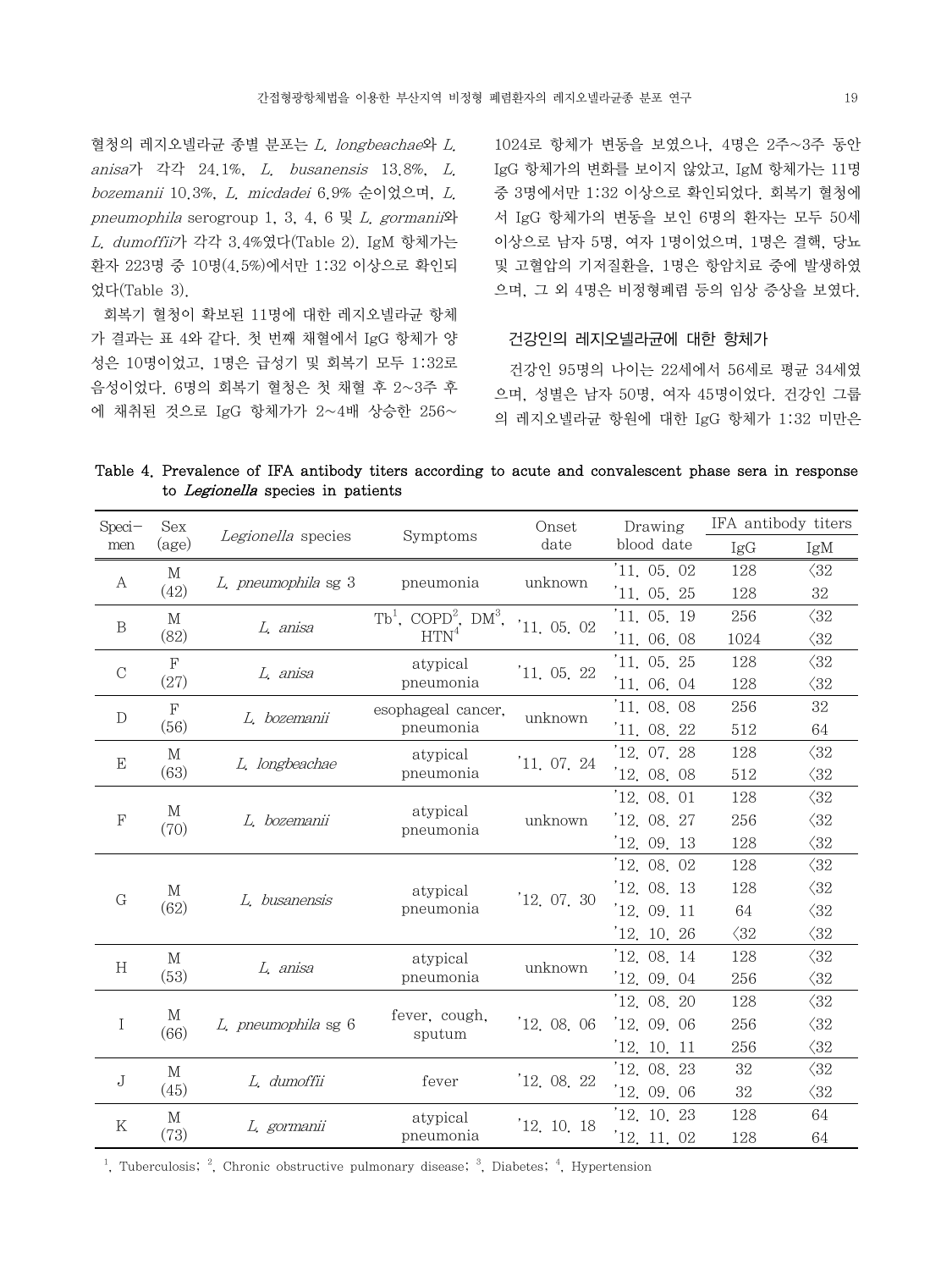혈청의 레지오넬라균 종별 분포는 L. longbeachae와 L. anisa가 각각 24.1%, L. busanensis 13.8%, L. bozemanii 10.3%, L. micdadei 6.9% 순이었으며, L. pneumophila serogroup 1, 3, 4, 6  $\mathbb{R}$  *L. gormanii*와 L. dumoffii가 각각 3.4%였다(Table 2). IgM 항체가는 환자 223명 중 10명(4.5%)에서만 1:32 이상으로 확인되 었다(Table 3).

 회복기 혈청이 확보된 11명에 대한 레지오넬라균 항체 가 결과는 표 4와 같다. 첫 번째 채혈에서 IgG 항체가 양 성은 10명이었고, 1명은 급성기 및 회복기 모두 1:32로 음성이었다. 6명의 회복기 혈청은 첫 채혈 후 2~3주 후 에 채취된 것으로 IgG 항체가가 2~4배 상승한 256~

Speci-

Sex

1024로 항체가 변동을 보였으나, 4명은 2주~3주 동안 IgG 항체가의 변화를 보이지 않았고, IgM 항체가는 11명 중 3명에서만 1:32 이상으로 확인되었다. 회복기 혈청에 서 IgG 항체가의 변동을 보인 6명의 환자는 모두 50세 이상으로 남자 5명, 여자 1명이었으며, 1명은 결핵, 당뇨 및 고혈압의 기저질환을, 1명은 항암치료 중에 발생하였 으며, 그 외 4명은 비정형폐렴 등의 임상 증상을 보였다.

#### 건강인의 레지오넬라균에 대한 항체가

 건강인 95명의 나이는 22세에서 56세로 평균 34세였 으며, 성별은 남자 50명, 여자 45명이었다. 건강인 그룹 의 레지오넬라균 항원에 대한 IgG 항체가 1:32 미만은

Drawing

IFA antibody titers

Table 4. Prevalence of IFA antibody titers according to acute and convalescent phase sera in response to Legionella species in patients

Legionella species Symptoms Onset

| men                      | $\left(\text{age}\right)$ | <i>Legionella</i> species | Symptoms                                      |             |             | IgG          | IgM          |
|--------------------------|---------------------------|---------------------------|-----------------------------------------------|-------------|-------------|--------------|--------------|
|                          | M                         | L. pneumophila sg 3       |                                               | unknown     | '11, 05, 02 | 128          | $\langle 32$ |
| A                        | (42)                      |                           | pneumonia                                     |             | 11. 05. 25  | 128          | 32           |
| $\, {\bf B}$             | M                         | L. anisa                  | $Tb1$ , COPD <sup>2</sup> , DM <sup>3</sup> , | '11.05.02   | '11, 05, 19 | 256          | $\langle 32$ |
|                          | (82)                      |                           | HTN <sup>4</sup>                              |             | '11.06.08   | 1024         | $\langle 32$ |
| $\mathbf C$              | F                         | L, anisa                  | atypical                                      | 11, 05, 22  | 11, 05, 25  | 128          | $\langle 32$ |
|                          | (27)                      |                           | pneumonia                                     |             | '11, 06, 04 | 128          | $\langle 32$ |
| $\mathbf D$              | F                         | L. bozemanii              | esophageal cancer.                            | unknown     | 11, 08, 08  | 256          | 32           |
|                          | (56)                      |                           | pneumonia                                     |             | '11, 08, 22 | 512          | 64           |
| $\mathbf E$              | M                         | L. longbeachae            | atypical                                      | 11, 07, 24  | 12.07.28    | 128          | $\langle 32$ |
|                          | (63)                      |                           | pneumonia                                     |             | '12, 08, 08 | 512          | $\langle 32$ |
|                          |                           |                           |                                               |             | 12, 08, 01  | 128          | $\langle 32$ |
| М<br>$\mathbf F$<br>(70) | L. bozemanii              | atypical<br>pneumonia     | unknown                                       | 12, 08, 27  | 256         | $\langle 32$ |              |
|                          |                           |                           |                                               |             | '12, 09, 13 | 128          | $\langle 32$ |
|                          |                           |                           |                                               |             | 12.08.02    | 128          | $\langle 32$ |
| $G\,$                    | M                         | L. busanensis             | atypical                                      | 12, 07, 30  | '12,08,13   | 128          | $\langle 32$ |
|                          | (62)                      |                           | pneumonia                                     |             | '12, 09, 11 | 64           | $\langle 32$ |
|                          |                           |                           |                                               |             | 12. 10. 26  | $\langle 32$ | $\langle 32$ |
| H                        | М                         | L. anisa                  | atypical                                      | unknown     | '12,08,14   | 128          | $\langle 32$ |
|                          | (53)                      |                           | pneumonia                                     |             | '12, 09, 04 | 256          | $\langle 32$ |
|                          |                           |                           |                                               |             | 12.08.20    | 128          | $\langle 32$ |
| Ι                        | М<br>(66)                 | L. pneumophila sg 6       | fever, cough,<br>sputum                       | '12, 08, 06 | 12.09.06    | 256          | $\langle 32$ |
|                          |                           |                           |                                               |             | 12, 10, 11  | 256          | $\langle 32$ |
| $\rm J$                  | $\mathbf M$               | L. dumoffii               | fever                                         | '12, 08, 22 | 12.08.23    | 32           | $\langle 32$ |
|                          | (45)                      |                           |                                               |             | '12, 09, 06 | 32           | $\langle 32$ |
| K                        | М                         | L. gormanii               | atypical                                      | 12, 10, 18  | 12. 10. 23  | 128          | 64           |
|                          | (73)                      |                           | pneumonia                                     |             | 12. 11. 02  | 128          | 64           |

<sup>1</sup>, Tuberculosis;  $^2$ , Chronic obstructive pulmonary disease;  $^3$ , Diabetes;  $^4$ , Hypertension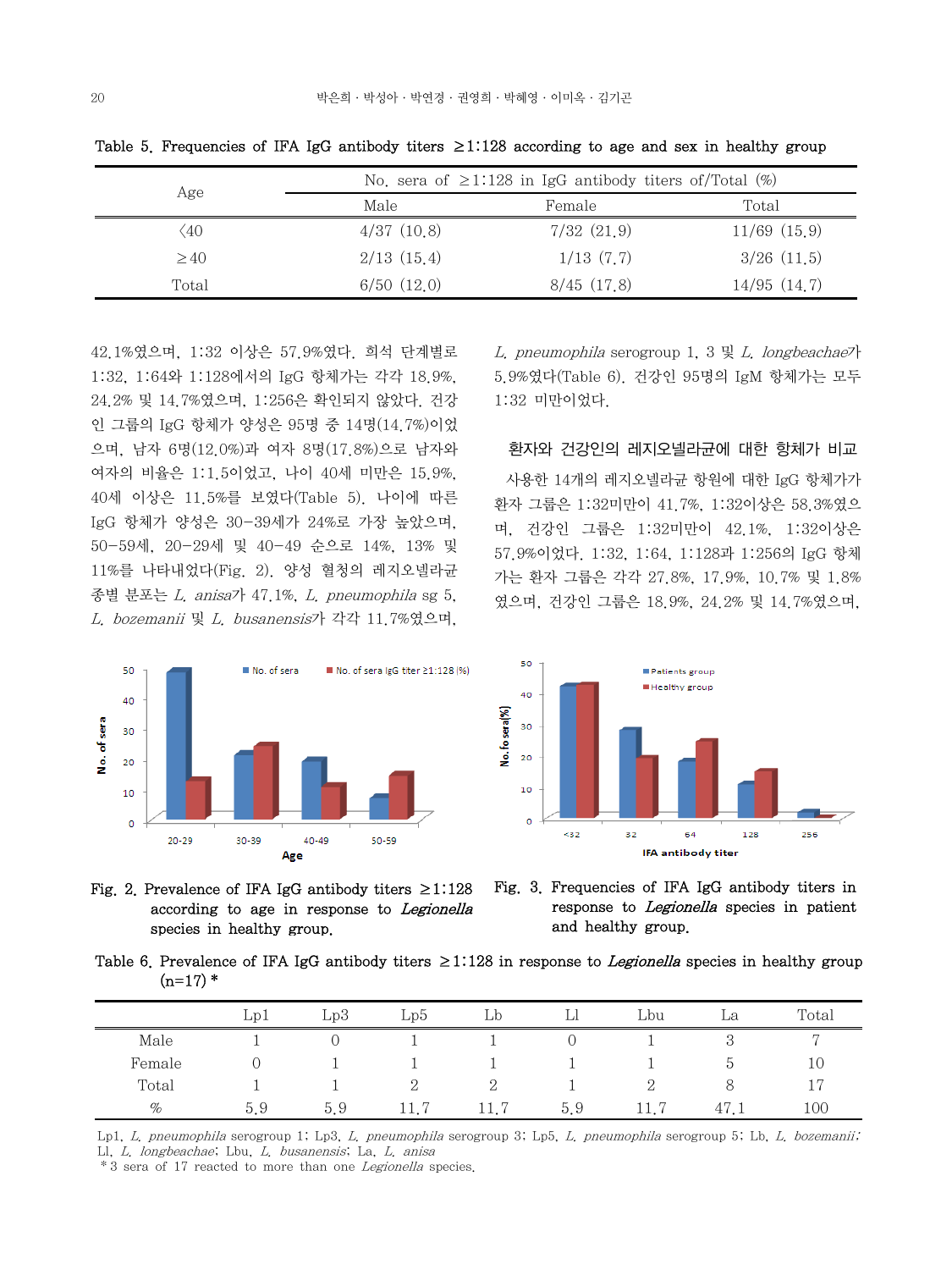|           |            | No, sera of $\geq$ 1.128 in IgG antibody titers of/Total (%) |                  |
|-----------|------------|--------------------------------------------------------------|------------------|
| Age       | Male       | Female                                                       | Total            |
| ΄40       | 4/37(10.8) | 7/32(21,9)                                                   | $11/69$ $(15.9)$ |
| $\geq 40$ | 2/13(15,4) | 1/13(7,7)                                                    | $3/26$ $(11.5)$  |
| Total     | 6/50(12,0) | 8/45(17.8)                                                   | 14/95(14.7)      |

Table 5. Frequencies of IFA IgG antibody titers  $\geq$ 1:128 according to age and sex in healthy group

42.1%였으며, 1:32 이상은 57.9%였다. 희석 단계별로 1:32, 1:64와 1:128에서의 IgG 항체가는 각각 18.9%, 24.2% 및 14.7%였으며, 1:256은 확인되지 않았다. 건강 인 그룹의 IgG 항체가 양성은 95명 중 14명(14.7%)이었 으며, 남자 6명(12.0%)과 여자 8명(17.8%)으로 남자와 여자의 비율은 1:1.5이었고, 나이 40세 미만은 15.9%, 40세 이상은 11.5%를 보였다(Table 5). 나이에 따른 IgG 항체가 양성은 30-39세가 24%로 가장 높았으며, 50-59세, 20-29세 및 40-49 순으로 14%, 13% 및 11%를 나타내었다(Fig. 2). 양성 혈청의 레지오넬라균 종별 분포는 L. anisa가 47.1%, L. pneumophila sg 5, L. bozemanii 및 L. busanensis가 각각 11.7%였으며,

L. pneumophila serogroup 1, 3 및 L. longbeachae가 5.9%였다(Table 6). 건강인 95명의 IgM 항체가는 모두 1:32 미만이었다.

### 환자와 건강인의 레지오넬라균에 대한 항체가 비교

 사용한 14개의 레지오넬라균 항원에 대한 IgG 항체가가 환자 그룹은 1:32미만이 41.7%, 1:32이상은 58.3%였으 며, 건강인 그룹은 1:32미만이 42.1%, 1:32이상은 57.9%이었다. 1:32, 1:64, 1:128과 1:256의 IgG 항체 가는 환자 그룹은 각각 27.8%, 17.9%, 10.7% 및 1.8% 였으며, 건강인 그룹은 18.9%, 24.2% 및 14.7%였으며,





Fig. 2. Prevalence of IFA IgG antibody titers  $\geq$ 1:128 according to age in response to Legionella species in healthy group.



Table 6. Prevalence of IFA IgG antibody titers  $\geq$ 1:128 in response to *Legionella* species in healthy group  $(n=17)$  \*

|        | Lp1 | Lp3 | Lp5          | Lр   | Ы   | Lbu  | La            | Total          |
|--------|-----|-----|--------------|------|-----|------|---------------|----------------|
| Male   |     |     |              |      |     |      | ಲ             | $\overline{ }$ |
| Female |     |     |              |      |     |      | $\mathcal{D}$ | 10             |
| Total  |     |     | 2            |      |     | റ    |               | 17             |
| %      | 5.9 | 5.9 | - 17<br>11.7 | 11.7 | 5.9 | 11.7 | 47.1          | 100            |

Lp1, L. pneumophila serogroup 1; Lp3, L. pneumophila serogroup 3; Lp5, L. pneumophila serogroup 5; Lb, L. bozemanii; Ll, L. longbeachae; Lbu, L. busanensis; La, L. anisa

\*3 sera of 17 reacted to more than one Legionella species.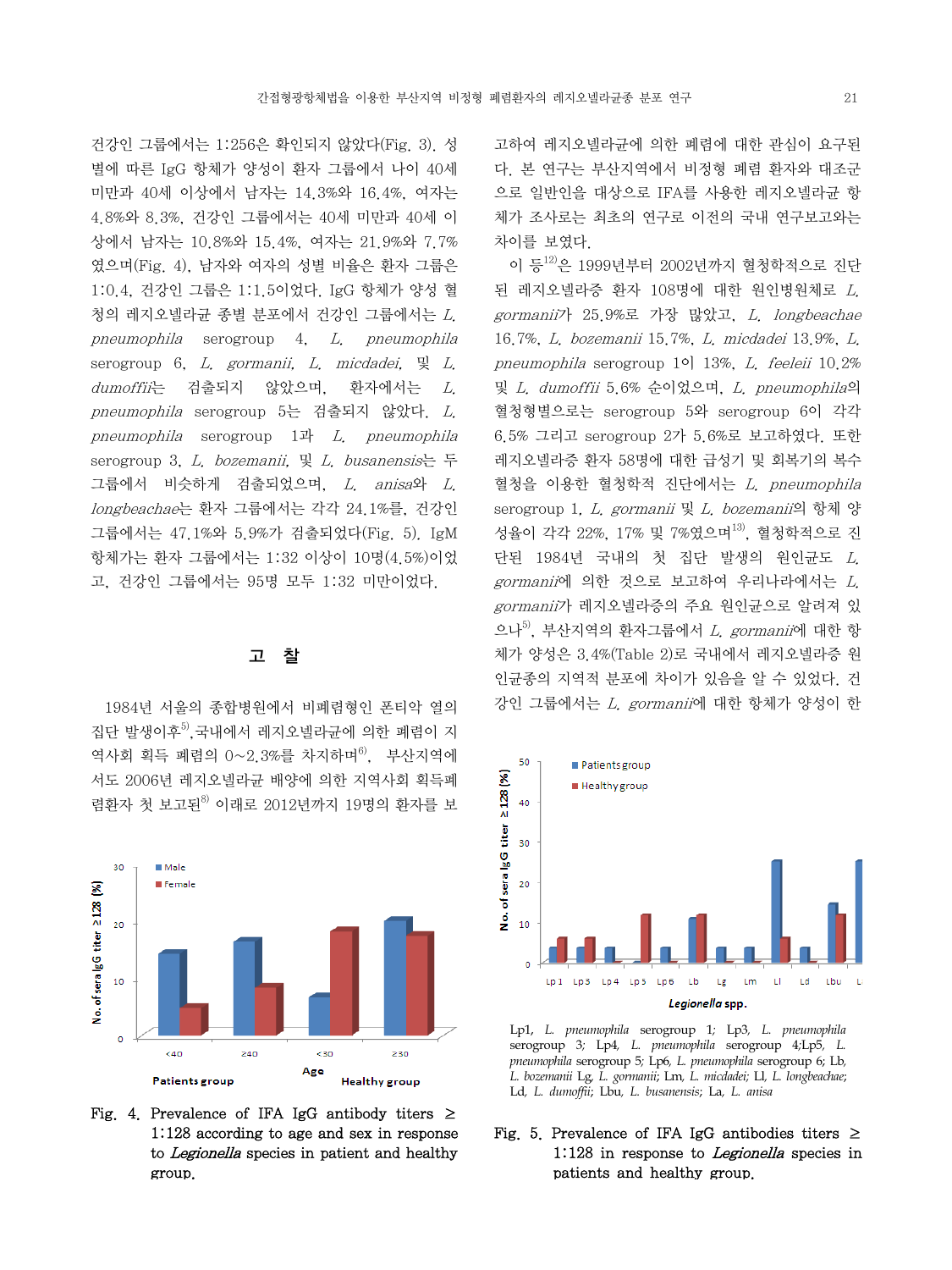건강인 그룹에서는 1:256은 확인되지 않았다(Fig. 3). 성 별에 따른 IgG 항체가 양성이 환자 그룹에서 나이 40세 미만과 40세 이상에서 남자는 14.3%와 16.4%, 여자는 4.8%와 8.3%, 건강인 그룹에서는 40세 미만과 40세 이 상에서 남자는 10.8%와 15.4%, 여자는 21.9%와 7.7% 였으며(Fig. 4), 남자와 여자의 성별 비율은 환자 그룹은 1:0.4, 건강인 그룹은 1:1.5이었다. IgG 항체가 양성 혈 청의 레지오넬라균 종별 분포에서 건강인 그룹에서는 L. pneumophila serogroup 4, L. pneumophila serogroup 6,  $L$ , gormanii,  $L$ , micdadei,  $L$ ,  $L$  $d$ umoffii는 검출되지 않았으며, 환자에서는 L. pneumophila serogroup 5는 검출되지 않았다. L. pneumophila serogroup 1과 L. pneumophila serogroup 3, L. bozemanii, 및 L. busanensis는 두 그룹에서 비슷하게 검출되었으며, L. anisa와 L. longbeachae는 환자 그룹에서는 각각 24.1%를, 건강인 그룹에서는 47.1%와 5.9%가 검출되었다(Fig. 5). IgM 항체가는 환자 그룹에서는 1:32 이상이 10명(4.5%)이었 고, 건강인 그룹에서는 95명 모두 1:32 미만이었다.

#### 고 찰

 1984년 서울의 종합병원에서 비폐렴형인 폰티악 열의 집다 발생이후<sup>5)</sup> 국내에서 레지오넬라규에 의한 폐렴이 지 역사회 획득 폐렴의 0~2.3%를 차지하며 $^{6}$ , 부산지역에 서도 2006년 레지오넬라균 배양에 의한 지역사회 획득폐 렴환자 첫 보고된<sup>8)</sup> 이래로 2012년까지 19명의 환자를 보



Fig. 4. Prevalence of IFA IgG antibody titers  $\geq$ 1:128 according to age and sex in response to Legionella species in patient and healthy group.

고하여 레지오넬라균에 의한 폐렴에 대한 관심이 요구된 다. 본 연구는 부산지역에서 비정형 폐렴 환자와 대조군 으로 일반인을 대상으로 IFA를 사용한 레지오넬라균 항 체가 조사로는 최초의 연구로 이전의 국내 연구보고와는 차이를 보였다.

이 등<sup>12)</sup>은 1999년부터 2002년까지 혈청학적으로 진단 된 레지오넬라증 환자 108명에 대한 원인병원체로 L. gormanii가 25.9%로 가장 많았고, L. longbeachae 16.7%, L. bozemanii 15.7%, L. micdadei 13.9%, L. pneumophila serogroup 1이 13%, L. feeleii 10.2% 및 L. dumoffii 5.6% 순이었으며, L. pneumophila의 혈청형별으로는 serogroup 5와 serogroup 6이 각각 6.5% 그리고 serogroup 2가 5.6%로 보고하였다. 또한 레지오넬라증 환자 58명에 대한 급성기 및 회복기의 복수 혈청을 이용한 혈청학적 진단에서는 L. pneumophila serogroup 1, L. gormanii 및 L. bozemanii의 항체 양 성율이 각각 22%, 17% 및 7%였으며<sup>13)</sup>, 혈청학적으로 진 단된 1984년 국내의 첫 집단 발생의 원인균도 L. gormanii에 의한 것으로 보고하여 우리나라에서는 L. gormanii가 레지오넬라증의 주요 원인균으로 알려져 있 으나 $^{5)}$ , 부산지역의 환자그룹에서 *L. gormanii*에 대한 항 체가 양성은 3.4%(Table 2)로 국내에서 레지오넬라증 원 인균종의 지역적 분포에 차이가 있음을 알 수 있었다. 건 강인 그룹에서는 L. gormanii에 대한 항체가 양성이 한



Lp1, *L. pneumophila* serogroup 1*;* Lp3*, L. pneumophila*  serogroup 3*;* Lp4*, L. pneumophila* serogroup 4*;*Lp5*, L. pneumophila* serogroup 5*;* Lp6*, L. pneumophila* serogroup 6; Lb*, L. bozemanii* Lg*, L. gormanii*; Lm*, L. micdadei;* Ll*, L. longbeachae*; Ld*, L. dumoffii*; Lbu*, L. busanensis*; La*, L. anisa*

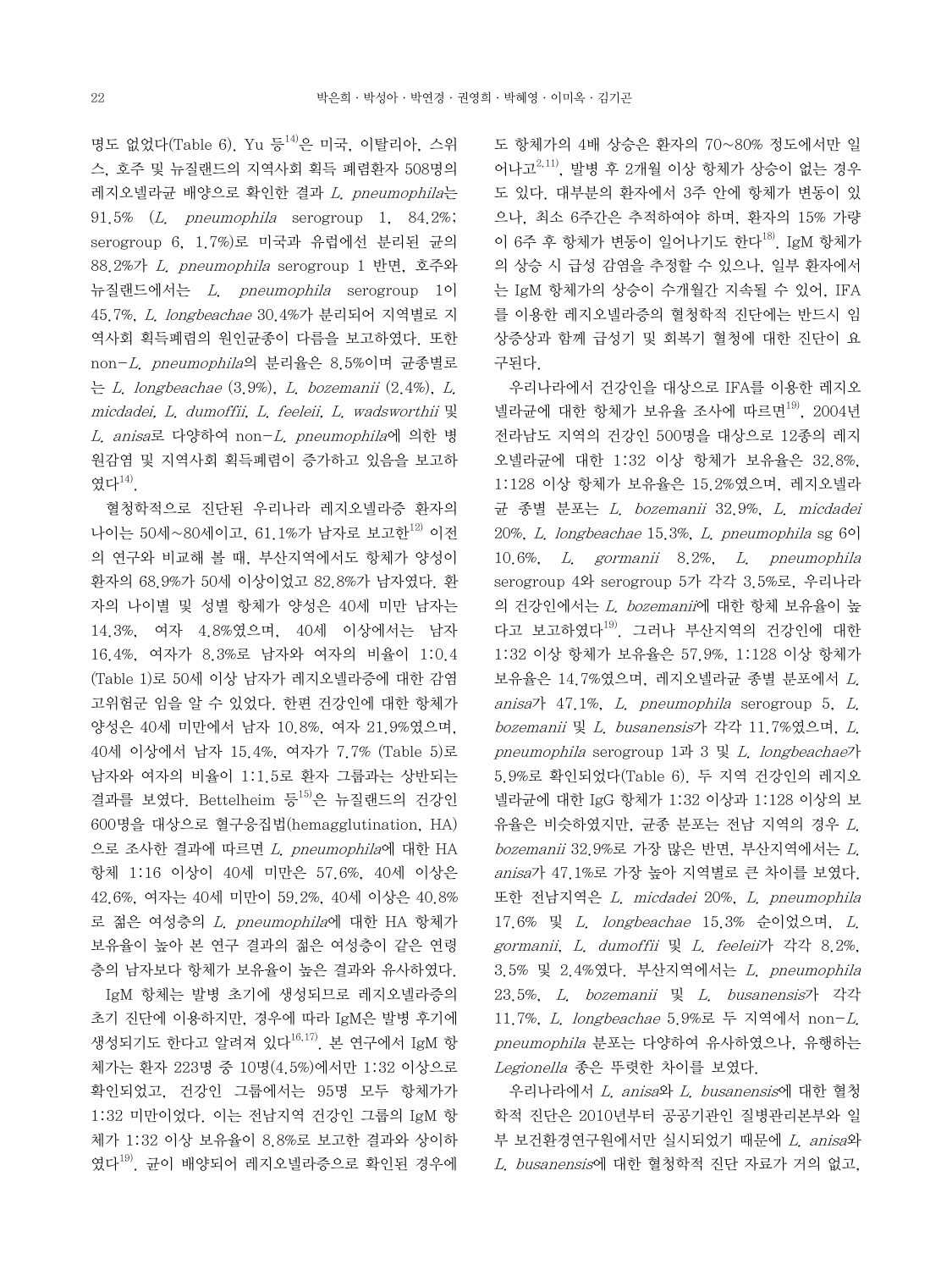명도 없었다(Table 6). Yu 등 $^{14}$ 은 미국, 이탈리아, 스위 스, 호주 및 뉴질랜드의 지역사회 획득 폐렴환자 508명의 레지오넬라균 배양으로 확인한 결과 L. pneumophila는 91.5% (L. pneumophila serogroup 1, 84.2%; serogroup 6, 1.7%)로 미국과 유럽에선 분리된 균의 88.2%가 L. pneumophila serogroup 1 반면, 호주와 뉴질랜드에서는 L. pneumophila serogroup 1이 45.7%, L. longbeachae 30.4%가 분리되어 지역별로 지 역사회 획득폐렴의 원인균종이 다름을 보고하였다. 또한 non-L. pneumophila의 분리율은 8.5%이며 균종별로 는 L. longbeachae (3.9%), L. bozemanii (2.4%), L. micdadei, L. dumoffii, L. feeleii, L. wadsworthii 및 L. anisa로 다양하여 non-L. pneumophila에 의한 병 원감염 및 지역사회 획득폐렴이 증가하고 있음을 보고하 였다14).

 혈청학적으로 진단된 우리나라 레지오넬라증 환자의 나이는 50세~80세이고, 61.1%가 남자로 보고한<sup>12)</sup> 이전 의 연구와 비교해 볼 때, 부산지역에서도 항체가 양성이 환자의 68.9%가 50세 이상이었고 82.8%가 남자였다. 환 자의 나이별 및 성별 항체가 양성은 40세 미만 남자는 14.3%, 여자 4.8%였으며, 40세 이상에서는 남자 16.4%, 여자가 8.3%로 남자와 여자의 비율이 1:0.4 (Table 1)로 50세 이상 남자가 레지오넬라증에 대한 감염 고위험군 임을 알 수 있었다. 한편 건강인에 대한 항체가 양성은 40세 미만에서 남자 10.8%, 여자 21.9%였으며, 40세 이상에서 남자 15.4%, 여자가 7.7% (Table 5)로 남자와 여자의 비율이 1:1.5로 환자 그룹과는 상반되는 결과를 보였다. Bettelheim 등 $^{15)}$ 은 뉴질랜드의 건강인 600명을 대상으로 혈구응집법(hemagglutination, HA) 으로 조사한 결과에 따르면 L. pneumophila에 대한 HA 항체 1:16 이상이 40세 미만은 57.6%, 40세 이상은 42.6%, 여자는 40세 미만이 59.2%, 40세 이상은 40.8% 로 젊은 여성층의 L. pneumophila에 대한 HA 항체가 보유율이 높아 본 연구 결과의 젊은 여성층이 같은 연령 층의 남자보다 항체가 보유율이 높은 결과와 유사하였다.

 IgM 항체는 발병 초기에 생성되므로 레지오넬라증의 초기 진단에 이용하지만, 경우에 따라 IgM은 발병 후기에 생성되기도 한다고 알려져 있다 $^{16,17)}$ . 본 연구에서 IgM 항 체가는 환자 223명 중 10명(4.5%)에서만 1:32 이상으로 확인되었고, 건강인 그룹에서는 95명 모두 항체가가 1:32 미만이었다. 이는 전남지역 건강인 그룹의 IgM 항 체가 1:32 이상 보유율이 8.8%로 보고한 결과와 상이하 였다 $^{19)}$  규이 배양되어 레지오넬라증으로 확인된 경우에 도 항체가의 4배 상승은 환자의 70~80% 정도에서만 일 어나고 $^{2,11)}$ , 발병 후 2개월 이상 항체가 상승이 없는 경우 도 있다. 대부분의 환자에서 3주 안에 항체가 변동이 있 으나, 최소 6주간은 추적하여야 하며, 환자의 15% 가량 이 6주 후 항체가 변동이 일어나기도 한다 $^{18}$ . IgM 항체가 의 상승 시 급성 감염을 추정할 수 있으나, 일부 환자에서 는 IgM 항체가의 상승이 수개월간 지속될 수 있어, IFA 를 이용한 레지오넬라증의 혈청학적 진단에는 반드시 임 상증상과 함께 급성기 및 회복기 혈청에 대한 진단이 요 구된다.

 우리나라에서 건강인을 대상으로 IFA를 이용한 레지오 넬라균에 대한 항체가 보유율 조사에 따르면<sup>19)</sup>, 2004년 전라남도 지역의 건강인 500명을 대상으로 12종의 레지 오넬라균에 대한 1:32 이상 항체가 보유율은 32.8%, 1:128 이상 항체가 보유율은 15.2%였으며, 레지오넬라 균 종별 분포는 L. bozemanii 32.9%, L. micdadei 20%, L. longbeachae 15.3%, L. pneumophila sg 6이 10.6%, L. gormanii 8.2%, L. pneumophila serogroup 4와 serogroup 5가 각각 3.5%로, 우리나라 의 건강인에서는 L. bozemanii에 대한 항체 보유율이 높 다고 보고하였다<sup>19)</sup>. 그러나 부산지역의 건강인에 대한 1:32 이상 항체가 보유율은 57.9%, 1:128 이상 항체가 보유율은 14.7%였으며, 레지오넬라균 종별 분포에서 L. anisa $7$  47.1%. L. pneumophila serogroup 5, L. bozemanii 및 L. busanensis가 각각 11.7%였으며, L. pneumophila serogroup 1과 3 및 L. longbeachae가 5.9%로 확인되었다(Table 6). 두 지역 건강인의 레지오 넬라균에 대한 IgG 항체가 1:32 이상과 1:128 이상의 보 유율은 비슷하였지만, 균종 분포는 전남 지역의 경우 L.  $b$ ozemanii 32.9%로 가장 많은 반면, 부산지역에서는  $L$ . anisa가 47.1%로 가장 높아 지역별로 큰 차이를 보였다. 또한 전남지역은 L. micdadei 20%, L. pneumophila 17.6% 및 L. longbeachae 15.3% 순이었으며, L. gormanii, L. dumoffii 및 L. feeleii가 각각 8.2%, 3.5% 및 2.4%였다. 부산지역에서는 L. pneumophila 23.5%, L. bozemanii 및 L. busanensis가 각각 11.7%, L. longbeachae 5.9%로 두 지역에서 non-L. pneumophila 분포는 다양하여 유사하였으나, 유행하는 Legionella 종은 뚜렷한 차이를 보였다.

 우리나라에서 L. anisa와 L. busanensis에 대한 혈청 학적 진단은 2010년부터 공공기관인 질병관리본부와 일 부 보건환경연구원에서만 실시되었기 때문에 L. anisa와 L. busanensis에 대한 혈청학적 진단 자료가 거의 없고,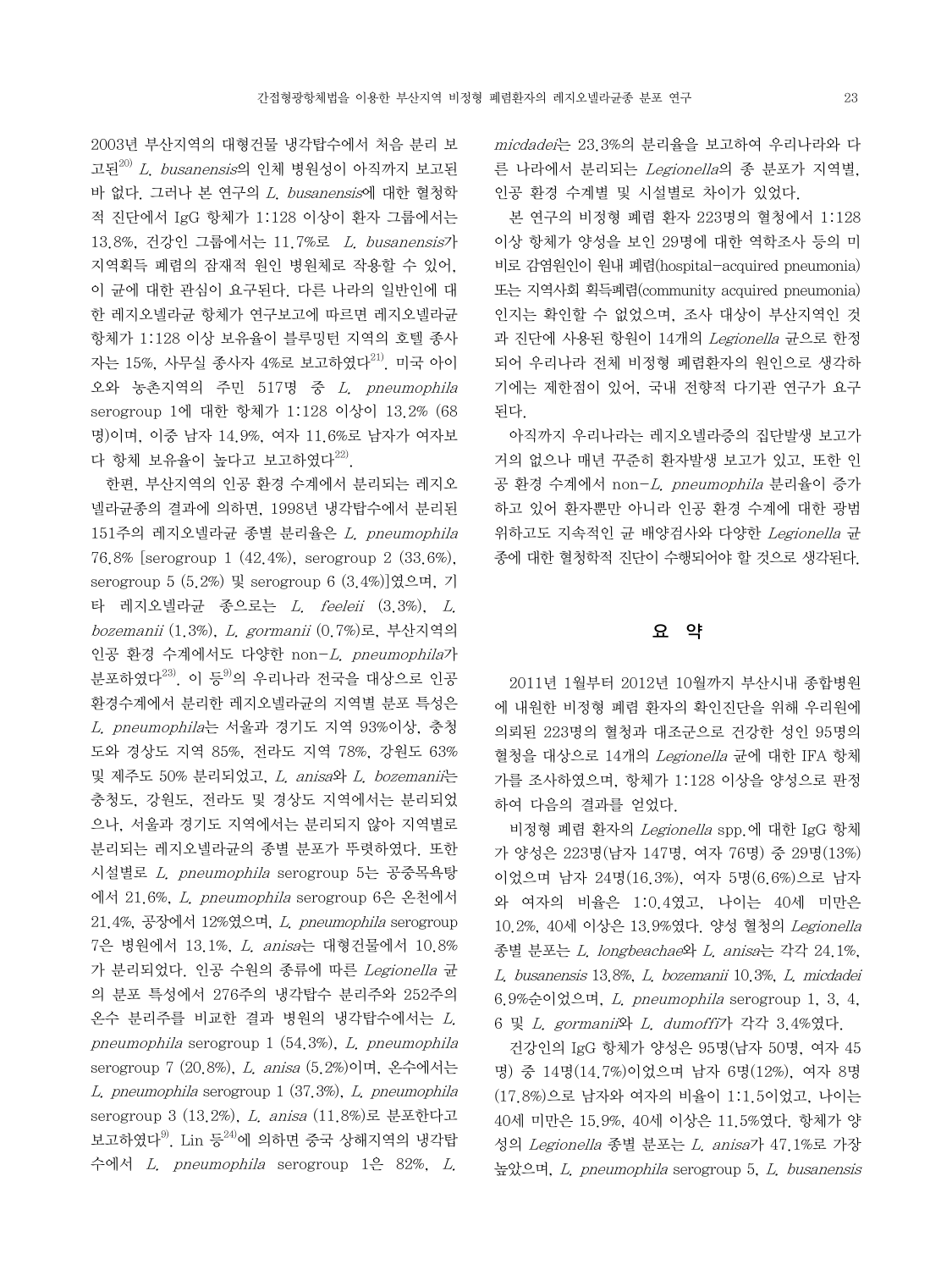2003년 부산지역의 대형건물 냉각탑수에서 처음 분리 보 고된 $^{20)}$  L. busanensis의 인체 병원성이 아직까지 보고된 바 없다. 그러나 본 연구의 L. busanensis에 대한 혈청학 적 진단에서 IgG 항체가 1:128 이상이 환자 그룹에서는 13.8%, 건강인 그룹에서는 11.7%로 L. busanensis가 지역획득 폐렴의 잠재적 원인 병원체로 작용할 수 있어, 이 균에 대한 관심이 요구된다. 다른 나라의 일반인에 대 한 레지오넬라균 항체가 연구보고에 따르면 레지오넬라균 항체가 1:128 이상 보유율이 블루밍턴 지역의 호텔 종사 자는 15%, 사무실 종사자 4%로 보고하였다<sup>21)</sup>. 미국 아이 오와 농촌지역의 주민 517명 중 L. pneumophila serogroup 1에 대한 항체가 1:128 이상이 13.2% (68 명)이며, 이중 남자 14.9%, 여자 11.6%로 남자가 여자보 다 항체 보유율이 높다고 보고하였다 $^{22}$ .

 한편, 부산지역의 인공 환경 수계에서 분리되는 레지오 넬라균종의 결과에 의하면, 1998년 냉각탑수에서 분리된 151주의 레지오넬라균 종별 분리율은 L. pneumophila 76.8% [serogroup 1 (42.4%), serogroup 2 (33.6%), serogroup 5 (5.2%) 및 serogroup 6 (3.4%)]였으며, 기 타 레지오넬라균 종으로는 L. feeleii (3.3%), L. bozemanii (1.3%), L. gormanii (0.7%)로, 부산지역의 인공 환경 수계에서도 다양한 non-L. pneumophila가 분포하였다 $^{23)}$ . 이 등 $^{9}$ 의 우리나라 전국을 대상으로 인공 환경수계에서 분리한 레지오넬라균의 지역별 분포 특성은 L. pneumophila는 서울과 경기도 지역 93%이상, 충청 도와 경상도 지역 85%, 전라도 지역 78%, 강원도 63% 및 제주도 50% 분리되었고, L. anisa와 L. bozemanii는 충청도, 강원도, 전라도 및 경상도 지역에서는 분리되었 으나, 서울과 경기도 지역에서는 분리되지 않아 지역별로 분리되는 레지오넬라균의 종별 분포가 뚜렷하였다. 또한 시설별로 L. pneumophila serogroup 5는 공중목욕탕 에서 21.6%, L. pneumophila serogroup 6은 온천에서 21.4%, 공장에서 12%였으며, L. pneumophila serogroup 7은 병원에서 13.1%, L. anisa는 대형건물에서 10.8% 가 분리되었다. 인공 수원의 종류에 따른 Legionella 균 의 분포 특성에서 276주의 냉각탑수 분리주와 252주의 온수 분리주를 비교한 결과 병원의 냉각탑수에서는 L. pneumophila serogroup 1 (54.3%), L. pneumophila serogroup 7 (20.8%), L. anisa (5.2%)이며, 온수에서는 L. pneumophila serogroup 1 (37.3%), L. pneumophila serogroup 3 (13.2%), L. anisa (11.8%)로 분포한다고 보고하였다9). Lin 등24)에 의하면 중국 상해지역의 냉각탑 수에서 L. pneumophila serogroup 1은 82%, L.

micdadei는 23.3%의 분리율을 보고하여 우리나라와 다 른 나라에서 분리되는 Legionella의 종 분포가 지역별, 인공 환경 수계별 및 시설별로 차이가 있었다.

 본 연구의 비정형 폐렴 환자 223명의 혈청에서 1:128 이상 항체가 양성을 보인 29명에 대한 역학조사 등의 미 비로 감염원인이 원내 폐렴(hospital-acquired pneumonia) 또는 지역사회 획득폐렴(community acquired pneumonia) 인지는 확인할 수 없었으며, 조사 대상이 부산지역인 것 과 진단에 사용된 항원이 14개의 Legionella 균으로 한정 되어 우리나라 전체 비정형 폐렴환자의 원인으로 생각하 기에는 제한점이 있어, 국내 전향적 다기관 연구가 요구 된다.

 아직까지 우리나라는 레지오넬라증의 집단발생 보고가 거의 없으나 매년 꾸준히 환자발생 보고가 있고, 또한 인 공 환경 수계에서 non-L. pneumophila 분리율이 증가 하고 있어 환자뿐만 아니라 인공 환경 수계에 대한 광범 위하고도 지속적인 균 배양검사와 다양한 Legionella 균 종에 대한 혈청학적 진단이 수행되어야 할 것으로 생각된다.

# 요 약

 2011년 1월부터 2012년 10월까지 부산시내 종합병원 에 내원한 비정형 폐렴 환자의 확인진단을 위해 우리원에 의뢰된 223명의 혈청과 대조군으로 건강한 성인 95명의 혈청을 대상으로 14개의 Legionella 균에 대한 IFA 항체 가를 조사하였으며, 항체가 1:128 이상을 양성으로 판정 하여 다음의 결과를 얻었다.

 비정형 폐렴 환자의 Legionella spp.에 대한 IgG 항체 가 양성은 223명(남자 147명, 여자 76명) 중 29명(13%) 이었으며 남자 24명(16.3%), 여자 5명(6.6%)으로 남자 와 여자의 비율은 1:0.4였고, 나이는 40세 미만은 10.2%, 40세 이상은 13.9%였다. 양성 혈청의 Legionella 종별 분포는 L. longbeachae와 L. anisa는 각각 24.1%, L. busanensis 13.8%, L. bozemanii 10.3%, L. micdadei 6.9%순이었으며, L. pneumophila serogroup 1, 3, 4, 6 및 L. gormanii와 L. dumoffi가 각각 3.4%였다.

 건강인의 IgG 항체가 양성은 95명(남자 50명, 여자 45 명) 중 14명(14.7%)이었으며 남자 6명(12%), 여자 8명 (17.8%)으로 남자와 여자의 비율이 1:1.5이었고, 나이는 40세 미만은 15.9%, 40세 이상은 11.5%였다. 항체가 양 성의 Legionella 종별 분포는 L. anisa가 47.1%로 가장 높았으며, L. pneumophila serogroup 5, L. busanensis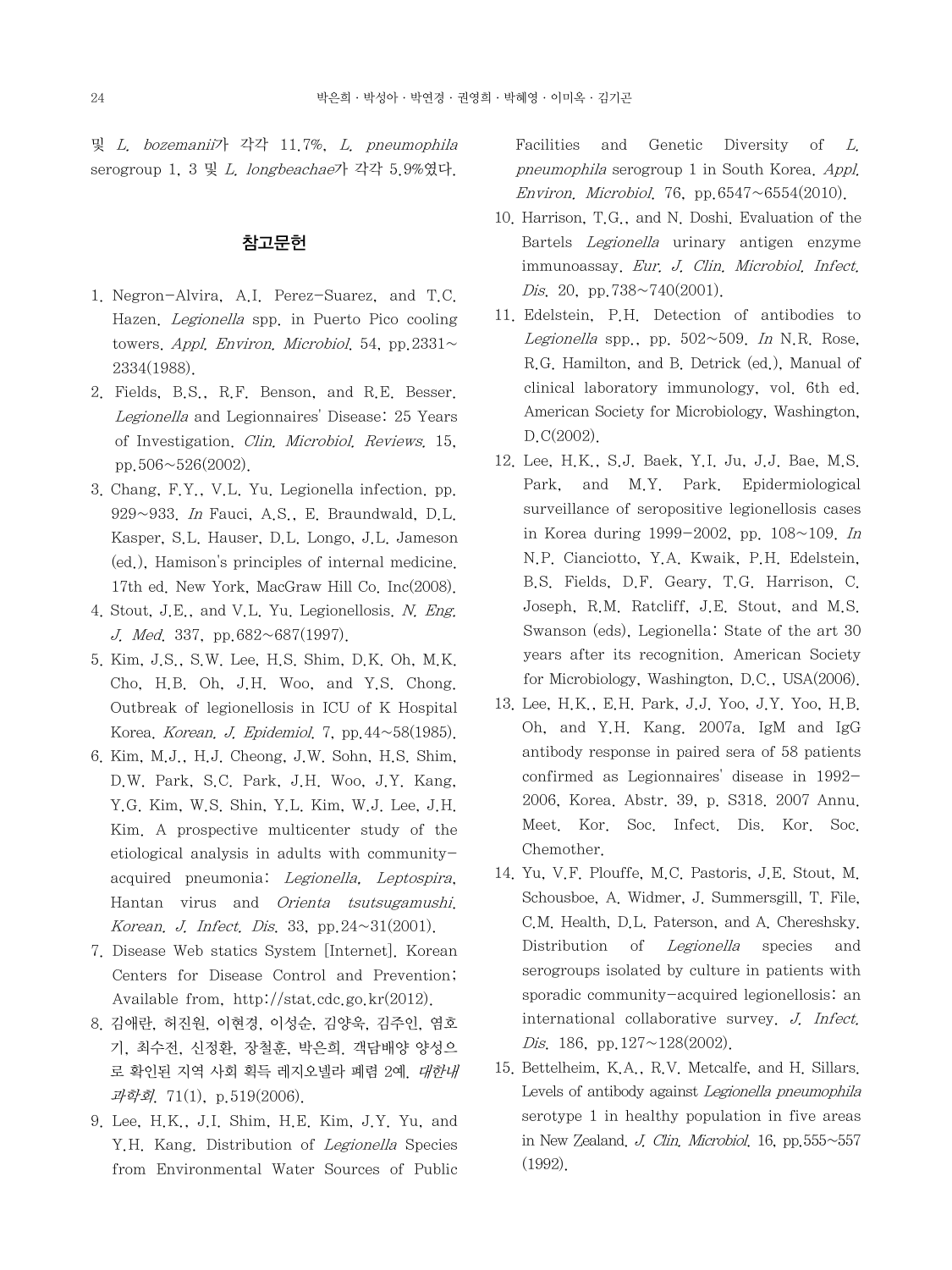및 L. bozemanii가 각각 11.7%, L. pneumophila serogroup 1, 3 및 L. longbeachae가 각각 5.9%였다.

### 참고문헌

- 1. Negron-Alvira, A.I. Perez-Suarez, and T.C. Hazen. Legionella spp. in Puerto Pico cooling towers. Appl. Environ. Microbiol. 54, pp. 2331 $\sim$ 2334(1988).
- 2. Fields, B.S., R.F. Benson, and R.E. Besser. Legionella and Legionnaires' Disease: 25 Years of Investigation. Clin. Microbiol. Reviews. 15, pp.  $506 \sim 526(2002)$ .
- 3. Chang, F.Y., V.L. Yu. Legionella infection. pp. 929~933. In Fauci, A.S., E. Braundwald, D.L. Kasper, S.L. Hauser, D.L. Longo, J.L. Jameson (ed.), Hamison's principles of internal medicine. 17th ed. New York, MacGraw Hill Co. Inc(2008).
- 4. Stout, J.E., and V.L. Yu. Legionellosis. N. Eng. J. Med. 337, pp.682~687(1997).
- 5. Kim, J.S., S.W. Lee, H.S. Shim, D.K. Oh, M.K. Cho, H.B. Oh, J.H. Woo, and Y.S. Chong. Outbreak of legionellosis in ICU of K Hospital Korea. Korean. J. Epidemiol. 7, pp. $44 \sim 58(1985)$ .
- 6. Kim, M.J., H.J. Cheong, J.W. Sohn, H.S. Shim, D.W. Park, S.C. Park, J.H. Woo, J.Y. Kang, Y.G. Kim, W.S. Shin, Y.L. Kim, W.J. Lee, J.H. Kim. A prospective multicenter study of the etiological analysis in adults with communityacquired pneumonia: Legionella, Leptospira, Hantan virus and Orienta tsutsugamushi. Korean. J. Infect. Dis. 33, pp.  $24 \sim 31(2001)$ .
- 7. Disease Web statics System [Internet]. Korean Centers for Disease Control and Prevention; Available from, http://stat.cdc.go.kr(2012).
- 8. 김애란, 허진원, 이현경, 이성순, 김양욱, 김주인, 염호 기, 최수전, 신정환, 장철훈, 박은희. 객담배양 양성으 로 확인된 지역 사회 획득 레지오넬라 폐렴 2예. 대한내 과학회. 71(1), p.519(2006).
- 9. Lee, H.K., J.I. Shim, H.E. Kim, J.Y. Yu, and Y.H. Kang. Distribution of Legionella Species from Environmental Water Sources of Public

Facilities and Genetic Diversity of L. pneumophila serogroup 1 in South Korea. Appl. Environ. Microbiol. 76, pp. 6547 $\sim$ 6554(2010).

- 10. Harrison, T.G., and N. Doshi. Evaluation of the Bartels Legionella urinary antigen enzyme immunoassay. Eur. J. Clin. Microbiol. Infect. Dis. 20, pp.  $738 \sim 740(2001)$ .
- 11. Edelstein, P.H. Detection of antibodies to Legionella spp., pp.  $502 \sim 509$ . In N.R. Rose, R.G. Hamilton, and B. Detrick (ed.), Manual of clinical laboratory immunology, vol. 6th ed. American Society for Microbiology, Washington, D.C(2002).
- 12. Lee, H.K., S.J. Baek, Y.I. Ju, J.J. Bae, M.S. Park, and M.Y. Park. Epidermiological surveillance of seropositive legionellosis cases in Korea during 1999-2002, pp.  $108 \sim 109$ . In N.P. Cianciotto, Y.A. Kwaik, P.H. Edelstein, B.S. Fields, D.F. Geary, T.G. Harrison, C. Joseph, R.M. Ratcliff, J.E. Stout, and M.S. Swanson (eds), Legionella: State of the art 30 years after its recognition. American Society for Microbiology, Washington, D.C., USA(2006).
- 13. Lee, H.K., E.H. Park, J.J. Yoo, J.Y. Yoo, H.B. Oh, and Y.H. Kang. 2007a. IgM and IgG antibody response in paired sera of 58 patients confirmed as Legionnaires' disease in 1992- 2006, Korea. Abstr. 39, p. S318. 2007 Annu. Meet. Kor. Soc. Infect. Dis. Kor. Soc. Chemother.
- 14. Yu, V.F. Plouffe, M.C. Pastoris, J.E. Stout, M. Schousboe, A. Widmer, J. Summersgill, T. File, C.M. Health, D.L. Paterson, and A. Chereshsky. Distribution of *Legionella* species and serogroups isolated by culture in patients with sporadic community-acquired legionellosis: an international collaborative survey. J. Infect. Dis. 186, pp.127 $\sim$ 128(2002).
- 15. Bettelheim, K.A., R.V. Metcalfe, and H. Sillars. Levels of antibody against Legionella pneumophila serotype 1 in healthy population in five areas in New Zealand. J. Clin. Microbiol. 16, pp.  $555~557$ (1992).